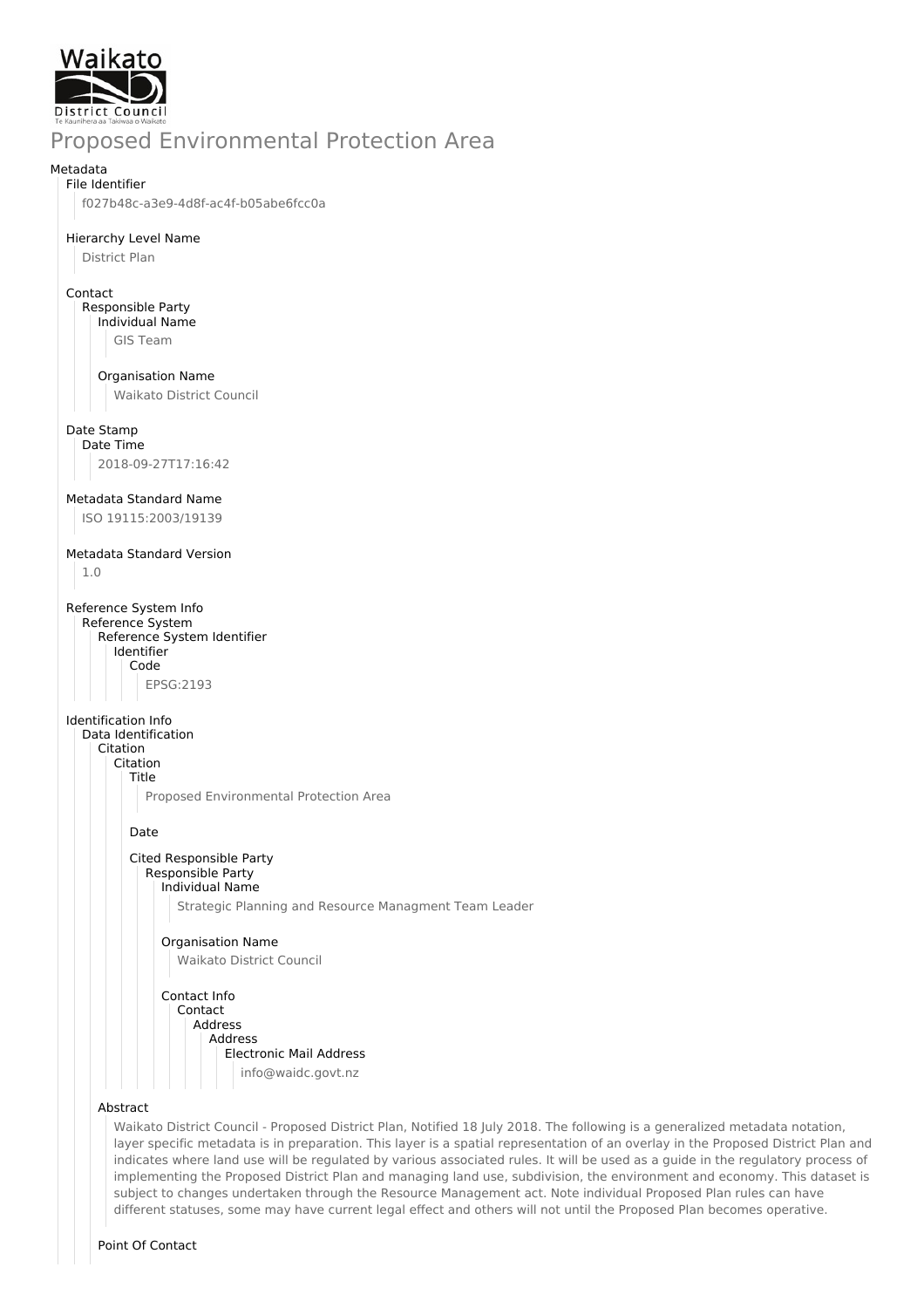

# Proposed Environmental Protection Area

### Metadata

File Identifier f027b48c-a3e9-4d8f-ac4f-b05abe6fcc0a

## Hierarchy Level Name

District Plan

### Contact

Responsible Party Individual Name GIS Team

### Organisation Name

Waikato District Council

### Date Stamp

Date Time 2018-09-27T17:16:42

### Metadata Standard Name

ISO 19115:2003/19139

### Metadata Standard Version

1.0

Reference System Info Reference System Reference System Identifier Identifier Code EPSG:2193

### Identification Info

Data Identification Citation Citation Title Proposed Environmental Protection Area

### Date

#### Cited Responsible Party Responsible Party Individual Name

Strategic Planning and Resource Managment Team Leader

### Organisation Name Waikato District Council

#### Contact Info Contact Address Address Electronic Mail Address info@waidc.govt.nz

### Abstract

Waikato District Council - Proposed District Plan, Notified 18 July 2018. The following is a generalized metadata notation, layer specific metadata is in preparation. This layer is a spatial representation of an overlay in the Proposed District Plan and indicates where land use will be regulated by various associated rules. It will be used as a guide in the regulatory process of implementing the Proposed District Plan and managing land use, subdivision, the environment and economy. This dataset is subject to changes undertaken through the Resource Management act. Note individual Proposed Plan rules can have different statuses, some may have current legal effect and others will not until the Proposed Plan becomes operative.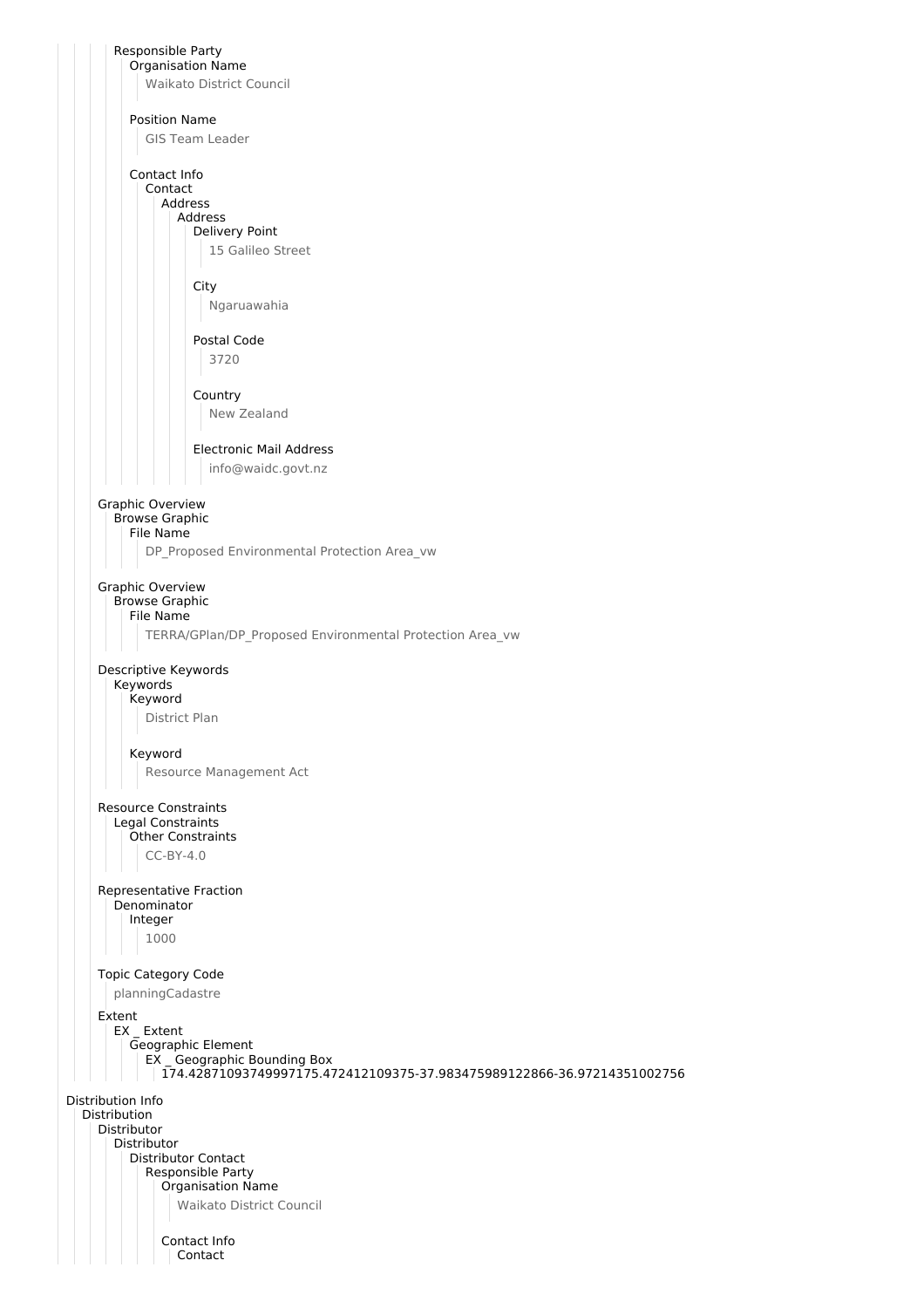